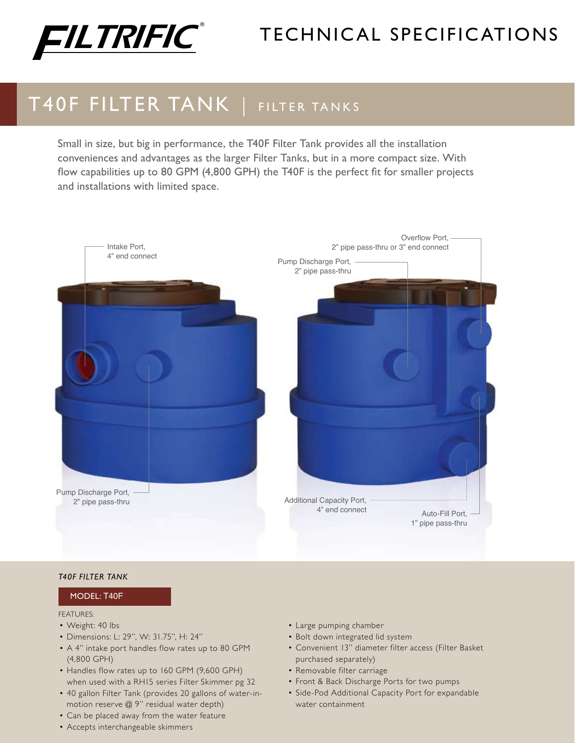

# TECHNICAL SPECIFICATIONS

# T40F FILTER TANK | FILTER TANKS

Small in size, but big in performance, the T40F Filter Tank provides all the installation conveniences and advantages as the larger Filter Tanks, but in a more compact size. With flow capabilities up to 80 GPM (4,800 GPH) the T40F is the perfect fit for smaller projects and installations with limited space.



#### *T40F Filter Tank*

### Model: T40F

#### FEATURES:

- Weight: 40 lbs
- • Dimensions: L: 29", W: 31.75", H: 24"
- A 4" intake port handles flow rates up to 80 GPM (4,800 GPH)
- Handles flow rates up to 160 GPM (9,600 GPH) when used with a RH15 series Filter Skimmer pg 32
- 40 gallon Filter Tank (provides 20 gallons of water-inmotion reserve @ 9" residual water depth)
- Can be placed away from the water feature
- • Accepts interchangeable skimmers
- • Large pumping chamber
- Bolt down integrated lid system
- • Convenient 13" diameter filter access (Filter Basket purchased separately)
- • Removable filter carriage
- Front & Back Discharge Ports for two pumps
- Side-Pod Additional Capacity Port for expandable water containment